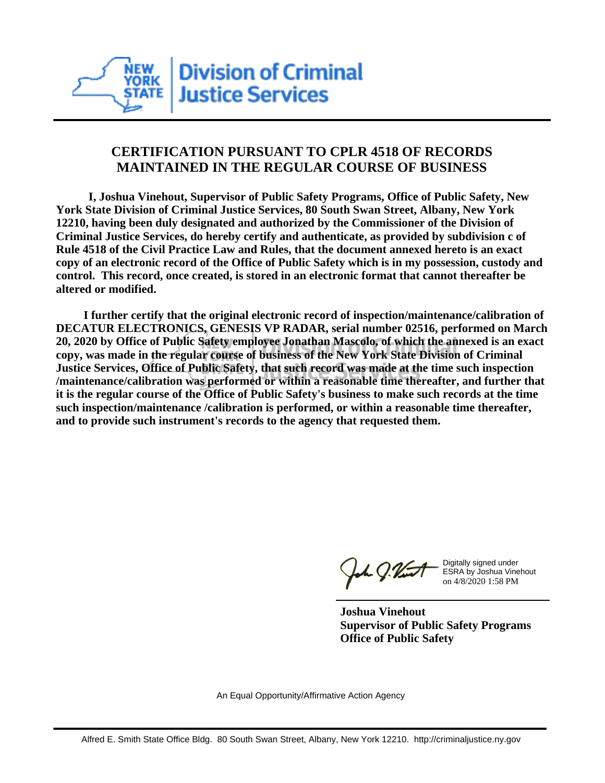

## **CERTIFICATION PURSUANT TO CPLR 4518 OF RECORDS MAINTAINED IN THE REGULAR COURSE OF BUSINESS**

 **I, Joshua Vinehout, Supervisor of Public Safety Programs, Office of Public Safety, New York State Division of Criminal Justice Services, 80 South Swan Street, Albany, New York 12210, having been duly designated and authorized by the Commissioner of the Division of Criminal Justice Services, do hereby certify and authenticate, as provided by subdivision c of Rule 4518 of the Civil Practice Law and Rules, that the document annexed hereto is an exact copy of an electronic record of the Office of Public Safety which is in my possession, custody and control. This record, once created, is stored in an electronic format that cannot thereafter be altered or modified.**

 **I further certify that the original electronic record of inspection/maintenance/calibration of DECATUR ELECTRONICS, GENESIS VP RADAR, serial number 02516, performed on March 20, 2020 by Office of Public Safety employee Jonathan Mascolo, of which the annexed is an exact copy, was made in the regular course of business of the New York State Division of Criminal Justice Services, Office of Public Safety, that such record was made at the time such inspection /maintenance/calibration was performed or within a reasonable time thereafter, and further that it is the regular course of the Office of Public Safety's business to make such records at the time such inspection/maintenance /calibration is performed, or within a reasonable time thereafter, and to provide such instrument's records to the agency that requested them.**

the J. Vint

Digitally signed under ESRA by Joshua Vinehout on 4/8/2020 1:58 PM

**Joshua Vinehout Supervisor of Public Safety Programs Office of Public Safety**

An Equal Opportunity/Affirmative Action Agency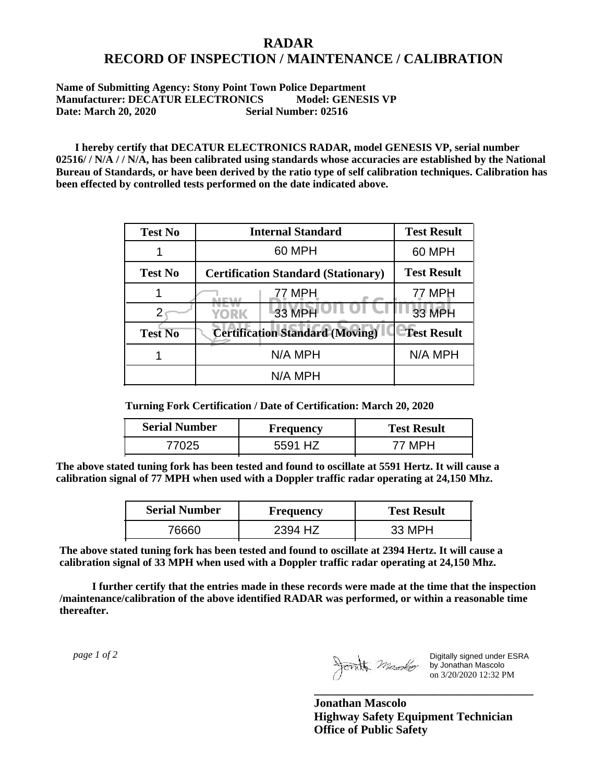## **RADAR RECORD OF INSPECTION / MAINTENANCE / CALIBRATION**

## **Name of Submitting Agency: Stony Point Town Police Department Manufacturer: DECATUR ELECTRONICS Model: GENESIS VP Date: March 20, 2020 Serial Number: 02516**

 **I hereby certify that DECATUR ELECTRONICS RADAR, model GENESIS VP, serial number 02516/ / N/A / / N/A, has been calibrated using standards whose accuracies are established by the National Bureau of Standards, or have been derived by the ratio type of self calibration techniques. Calibration has been effected by controlled tests performed on the date indicated above.**

| <b>Test No</b> | <b>Internal Standard</b>                   | <b>Test Result</b> |
|----------------|--------------------------------------------|--------------------|
|                | 60 MPH                                     | 60 MPH             |
| <b>Test No</b> | <b>Certification Standard (Stationary)</b> | <b>Test Result</b> |
|                | 77 MPH                                     | 77 MPH             |
|                | 33 MPH<br><b>YORK</b>                      | <b>33 MPH</b>      |
| <b>Test No</b> | <b>Certification Standard (Moving)</b>     | <b>Test Result</b> |
|                | N/A MPH                                    | N/A MPH            |
|                | N/A MPH                                    |                    |

**Turning Fork Certification / Date of Certification: March 20, 2020**

| <b>Serial Number</b> | Frequency  | <b>Test Result</b> |
|----------------------|------------|--------------------|
| ワハクト                 | H7<br>5591 |                    |

**The above stated tuning fork has been tested and found to oscillate at 5591 Hertz. It will cause a calibration signal of 77 MPH when used with a Doppler traffic radar operating at 24,150 Mhz.**

| <b>Serial Number</b> | <b>Frequency</b> | <b>Test Result</b> |
|----------------------|------------------|--------------------|
| 76660                | 2394 HZ          | 33 MPH             |

**The above stated tuning fork has been tested and found to oscillate at 2394 Hertz. It will cause a calibration signal of 33 MPH when used with a Doppler traffic radar operating at 24,150 Mhz.**

 **I further certify that the entries made in these records were made at the time that the inspection /maintenance/calibration of the above identified RADAR was performed, or within a reasonable time thereafter.**

 *page 1 of 2* 

Digitally signed under ESRA by Jonathan Mascolo on 3/20/2020 12:32 PM

**Jonathan Mascolo Highway Safety Equipment Technician Office of Public Safety**

**\_\_\_\_\_\_\_\_\_\_\_\_\_\_\_\_\_\_\_\_\_\_\_\_\_\_\_\_\_\_\_\_\_\_\_\_\_**